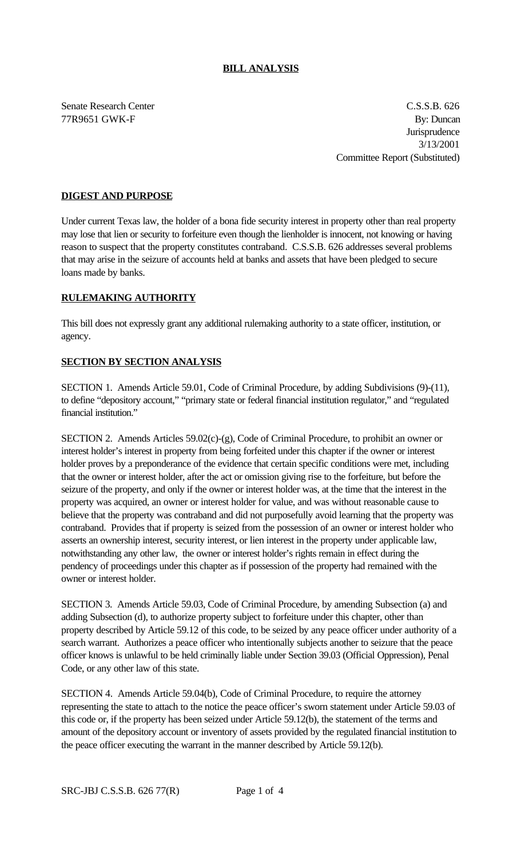#### **BILL ANALYSIS**

Senate Research Center C.S.S.B. 626 77R9651 GWK-F By: Duncan **Jurisprudence** 3/13/2001 Committee Report (Substituted)

## **DIGEST AND PURPOSE**

Under current Texas law, the holder of a bona fide security interest in property other than real property may lose that lien or security to forfeiture even though the lienholder is innocent, not knowing or having reason to suspect that the property constitutes contraband. C.S.S.B. 626 addresses several problems that may arise in the seizure of accounts held at banks and assets that have been pledged to secure loans made by banks.

### **RULEMAKING AUTHORITY**

This bill does not expressly grant any additional rulemaking authority to a state officer, institution, or agency.

### **SECTION BY SECTION ANALYSIS**

SECTION 1. Amends Article 59.01, Code of Criminal Procedure, by adding Subdivisions (9)-(11), to define "depository account," "primary state or federal financial institution regulator," and "regulated financial institution."

SECTION 2. Amends Articles 59.02(c)-(g), Code of Criminal Procedure, to prohibit an owner or interest holder's interest in property from being forfeited under this chapter if the owner or interest holder proves by a preponderance of the evidence that certain specific conditions were met, including that the owner or interest holder, after the act or omission giving rise to the forfeiture, but before the seizure of the property, and only if the owner or interest holder was, at the time that the interest in the property was acquired, an owner or interest holder for value, and was without reasonable cause to believe that the property was contraband and did not purposefully avoid learning that the property was contraband. Provides that if property is seized from the possession of an owner or interest holder who asserts an ownership interest, security interest, or lien interest in the property under applicable law, notwithstanding any other law, the owner or interest holder's rights remain in effect during the pendency of proceedings under this chapter as if possession of the property had remained with the owner or interest holder.

SECTION 3. Amends Article 59.03, Code of Criminal Procedure, by amending Subsection (a) and adding Subsection (d), to authorize property subject to forfeiture under this chapter, other than property described by Article 59.12 of this code, to be seized by any peace officer under authority of a search warrant. Authorizes a peace officer who intentionally subjects another to seizure that the peace officer knows is unlawful to be held criminally liable under Section 39.03 (Official Oppression), Penal Code, or any other law of this state.

SECTION 4. Amends Article 59.04(b), Code of Criminal Procedure, to require the attorney representing the state to attach to the notice the peace officer's sworn statement under Article 59.03 of this code or, if the property has been seized under Article 59.12(b), the statement of the terms and amount of the depository account or inventory of assets provided by the regulated financial institution to the peace officer executing the warrant in the manner described by Article 59.12(b).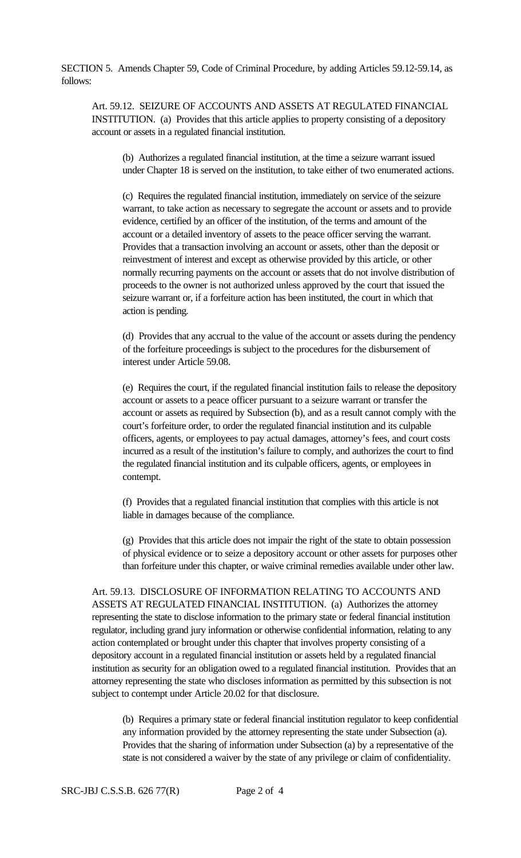SECTION 5. Amends Chapter 59, Code of Criminal Procedure, by adding Articles 59.12-59.14, as follows:

Art. 59.12. SEIZURE OF ACCOUNTS AND ASSETS AT REGULATED FINANCIAL INSTITUTION. (a) Provides that this article applies to property consisting of a depository account or assets in a regulated financial institution.

(b) Authorizes a regulated financial institution, at the time a seizure warrant issued under Chapter 18 is served on the institution, to take either of two enumerated actions.

(c) Requires the regulated financial institution, immediately on service of the seizure warrant, to take action as necessary to segregate the account or assets and to provide evidence, certified by an officer of the institution, of the terms and amount of the account or a detailed inventory of assets to the peace officer serving the warrant. Provides that a transaction involving an account or assets, other than the deposit or reinvestment of interest and except as otherwise provided by this article, or other normally recurring payments on the account or assets that do not involve distribution of proceeds to the owner is not authorized unless approved by the court that issued the seizure warrant or, if a forfeiture action has been instituted, the court in which that action is pending.

(d) Provides that any accrual to the value of the account or assets during the pendency of the forfeiture proceedings is subject to the procedures for the disbursement of interest under Article 59.08.

(e) Requires the court, if the regulated financial institution fails to release the depository account or assets to a peace officer pursuant to a seizure warrant or transfer the account or assets as required by Subsection (b), and as a result cannot comply with the court's forfeiture order, to order the regulated financial institution and its culpable officers, agents, or employees to pay actual damages, attorney's fees, and court costs incurred as a result of the institution's failure to comply, and authorizes the court to find the regulated financial institution and its culpable officers, agents, or employees in contempt.

(f) Provides that a regulated financial institution that complies with this article is not liable in damages because of the compliance.

(g) Provides that this article does not impair the right of the state to obtain possession of physical evidence or to seize a depository account or other assets for purposes other than forfeiture under this chapter, or waive criminal remedies available under other law.

Art. 59.13. DISCLOSURE OF INFORMATION RELATING TO ACCOUNTS AND ASSETS AT REGULATED FINANCIAL INSTITUTION. (a) Authorizes the attorney representing the state to disclose information to the primary state or federal financial institution regulator, including grand jury information or otherwise confidential information, relating to any action contemplated or brought under this chapter that involves property consisting of a depository account in a regulated financial institution or assets held by a regulated financial institution as security for an obligation owed to a regulated financial institution. Provides that an attorney representing the state who discloses information as permitted by this subsection is not subject to contempt under Article 20.02 for that disclosure.

(b) Requires a primary state or federal financial institution regulator to keep confidential any information provided by the attorney representing the state under Subsection (a). Provides that the sharing of information under Subsection (a) by a representative of the state is not considered a waiver by the state of any privilege or claim of confidentiality.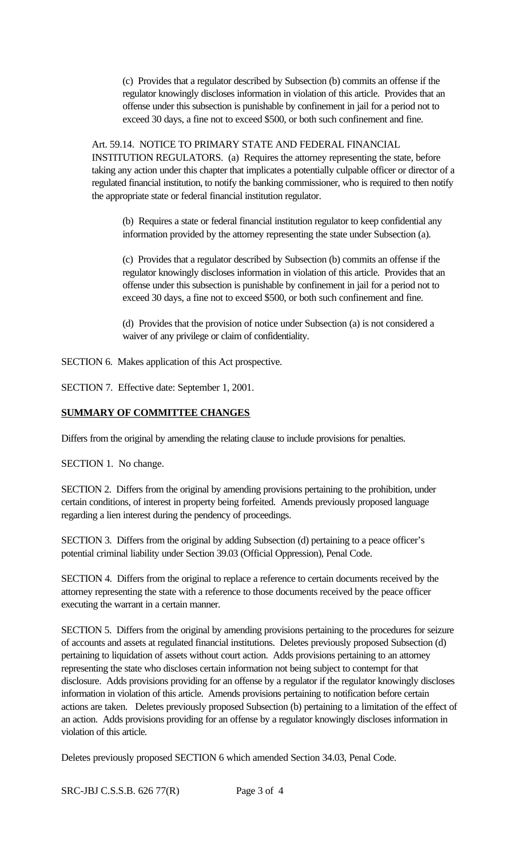(c) Provides that a regulator described by Subsection (b) commits an offense if the regulator knowingly discloses information in violation of this article. Provides that an offense under this subsection is punishable by confinement in jail for a period not to exceed 30 days, a fine not to exceed \$500, or both such confinement and fine.

Art. 59.14. NOTICE TO PRIMARY STATE AND FEDERAL FINANCIAL INSTITUTION REGULATORS. (a) Requires the attorney representing the state, before taking any action under this chapter that implicates a potentially culpable officer or director of a regulated financial institution, to notify the banking commissioner, who is required to then notify the appropriate state or federal financial institution regulator.

(b) Requires a state or federal financial institution regulator to keep confidential any information provided by the attorney representing the state under Subsection (a).

(c) Provides that a regulator described by Subsection (b) commits an offense if the regulator knowingly discloses information in violation of this article. Provides that an offense under this subsection is punishable by confinement in jail for a period not to exceed 30 days, a fine not to exceed \$500, or both such confinement and fine.

(d) Provides that the provision of notice under Subsection (a) is not considered a waiver of any privilege or claim of confidentiality.

SECTION 6. Makes application of this Act prospective.

SECTION 7. Effective date: September 1, 2001.

# **SUMMARY OF COMMITTEE CHANGES**

Differs from the original by amending the relating clause to include provisions for penalties.

SECTION 1. No change.

SECTION 2. Differs from the original by amending provisions pertaining to the prohibition, under certain conditions, of interest in property being forfeited. Amends previously proposed language regarding a lien interest during the pendency of proceedings.

SECTION 3. Differs from the original by adding Subsection (d) pertaining to a peace officer's potential criminal liability under Section 39.03 (Official Oppression), Penal Code.

SECTION 4. Differs from the original to replace a reference to certain documents received by the attorney representing the state with a reference to those documents received by the peace officer executing the warrant in a certain manner.

SECTION 5. Differs from the original by amending provisions pertaining to the procedures for seizure of accounts and assets at regulated financial institutions. Deletes previously proposed Subsection (d) pertaining to liquidation of assets without court action. Adds provisions pertaining to an attorney representing the state who discloses certain information not being subject to contempt for that disclosure. Adds provisions providing for an offense by a regulator if the regulator knowingly discloses information in violation of this article. Amends provisions pertaining to notification before certain actions are taken. Deletes previously proposed Subsection (b) pertaining to a limitation of the effect of an action. Adds provisions providing for an offense by a regulator knowingly discloses information in violation of this article.

Deletes previously proposed SECTION 6 which amended Section 34.03, Penal Code.

SRC-JBJ C.S.S.B. 626 77(R) Page 3 of 4